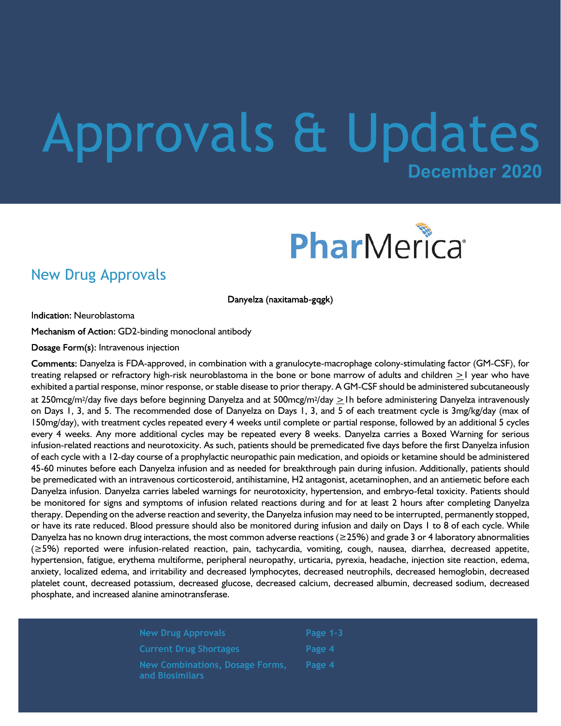# **December 2020** Approvals & Updates



#### New Drug Approvals

Danyelza (naxitamab-gqgk)

**Indication: Neuroblastoma** 

Mechanism of Action: GD2-binding monoclonal antibody

Dosage Form(s): Intravenous injection

Comments: Danyelza is FDA-approved, in combination with a granulocyte-macrophage colony-stimulating factor (GM-CSF), for treating relapsed or refractory high-risk neuroblastoma in the bone or bone marrow of adults and children >1 year who have exhibited a partial response, minor response, or stable disease to prior therapy. A GM-CSF should be administered subcutaneously at 250mcg/m2/day five days before beginning Danyelza and at 500mcg/m2/day >1h before administering Danyelza intravenously on Days 1, 3, and 5. The recommended dose of Danyelza on Days 1, 3, and 5 of each treatment cycle is 3mg/kg/day (max of 150mg/day), with treatment cycles repeated every 4 weeks until complete or partial response, followed by an additional 5 cycles every 4 weeks. Any more additional cycles may be repeated every 8 weeks. Danyelza carries a Boxed Warning for serious infusion-related reactions and neurotoxicity. As such, patients should be premedicated five days before the first Danyelza infusion of each cycle with a 12-day course of a prophylactic neuropathic pain medication, and opioids or ketamine should be administered 45-60 minutes before each Danyelza infusion and as needed for breakthrough pain during infusion. Additionally, patients should be premedicated with an intravenous corticosteroid, antihistamine, H2 antagonist, acetaminophen, and an antiemetic before each Danyelza infusion. Danyelza carries labeled warnings for neurotoxicity, hypertension, and embryo-fetal toxicity. Patients should be monitored for signs and symptoms of infusion related reactions during and for at least 2 hours after completing Danyelza therapy. Depending on the adverse reaction and severity, the Danyelza infusion may need to be interrupted, permanently stopped, or have its rate reduced. Blood pressure should also be monitored during infusion and daily on Days 1 to 8 of each cycle. While Danyelza has no known drug interactions, the most common adverse reactions (≥25%) and grade 3 or 4 laboratory abnormalities (≥5%) reported were infusion-related reaction, pain, tachycardia, vomiting, cough, nausea, diarrhea, decreased appetite, hypertension, fatigue, erythema multiforme, peripheral neuropathy, urticaria, pyrexia, headache, injection site reaction, edema, anxiety, localized edema, and irritability and decreased lymphocytes, decreased neutrophils, decreased hemoglobin, decreased platelet count, decreased potassium, decreased glucose, decreased calcium, decreased albumin, decreased sodium, decreased phosphate, and increased alanine aminotransferase.

| <b>New Drug Approvals</b>                          | Page $1-3$ |
|----------------------------------------------------|------------|
| <b>Current Drug Shortages</b>                      | Page 4     |
| New Combinations, Dosage Forms,<br>and Biosimilars | Page 4     |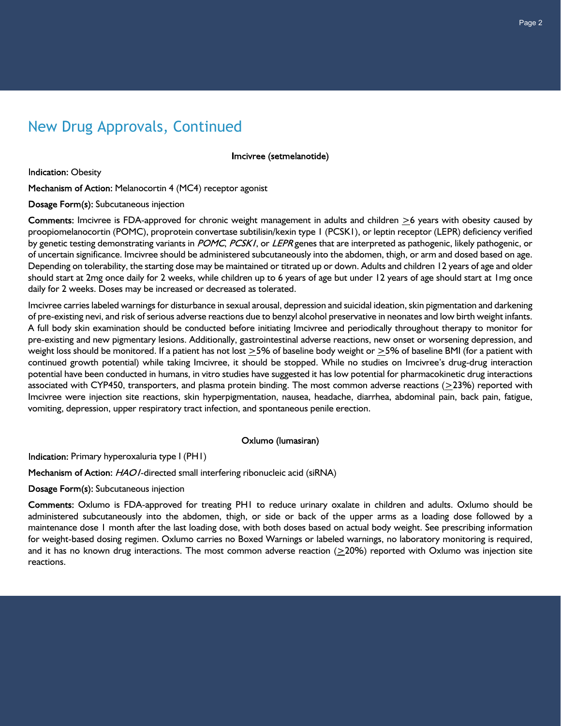## New Drug Approvals, Continued

Imcivree (setmelanotide)

**Indication: Obesity** 

Mechanism of Action: Melanocortin 4 (MC4) receptor agonist

Dosage Form(s): Subcutaneous injection

Comments: Imcivree is FDA-approved for chronic weight management in adults and children  $\geq$ 6 years with obesity caused by proopiomelanocortin (POMC), proprotein convertase subtilisin/kexin type 1 (PCSK1), or leptin receptor (LEPR) deficiency verified by genetic testing demonstrating variants in POMC, PCSKI, or LEPR genes that are interpreted as pathogenic, likely pathogenic, or of uncertain significance. Imcivree should be administered subcutaneously into the abdomen, thigh, or arm and dosed based on age. Depending on tolerability, the starting dose may be maintained or titrated up or down. Adults and children 12 years of age and older should start at 2mg once daily for 2 weeks, while children up to 6 years of age but under 12 years of age should start at 1mg once daily for 2 weeks. Doses may be increased or decreased as tolerated.

Imcivree carries labeled warnings for disturbance in sexual arousal, depression and suicidal ideation, skin pigmentation and darkening of pre-existing nevi, and risk of serious adverse reactions due to benzyl alcohol preservative in neonates and low birth weight infants. A full body skin examination should be conducted before initiating Imcivree and periodically throughout therapy to monitor for pre-existing and new pigmentary lesions. Additionally, gastrointestinal adverse reactions, new onset or worsening depression, and weight loss should be monitored. If a patient has not lost  $>5\%$  of baseline body weight or  $>5\%$  of baseline BMI (for a patient with continued growth potential) while taking Imcivree, it should be stopped. While no studies on Imcivree's drug-drug interaction potential have been conducted in humans, in vitro studies have suggested it has low potential for pharmacokinetic drug interactions associated with CYP450, transporters, and plasma protein binding. The most common adverse reactions (>23%) reported with Imcivree were injection site reactions, skin hyperpigmentation, nausea, headache, diarrhea, abdominal pain, back pain, fatigue, vomiting, depression, upper respiratory tract infection, and spontaneous penile erection.

#### Oxlumo (lumasiran)

Indication: Primary hyperoxaluria type I (PHI)

Mechanism of Action: HAOI-directed small interfering ribonucleic acid (siRNA)

Dosage Form(s): Subcutaneous injection

Comments: Oxlumo is FDA-approved for treating PH1 to reduce urinary oxalate in children and adults. Oxlumo should be administered subcutaneously into the abdomen, thigh, or side or back of the upper arms as a loading dose followed by a maintenance dose 1 month after the last loading dose, with both doses based on actual body weight. See prescribing information for weight-based dosing regimen. Oxlumo carries no Boxed Warnings or labeled warnings, no laboratory monitoring is required, and it has no known drug interactions. The most common adverse reaction (>20%) reported with Oxlumo was injection site reactions.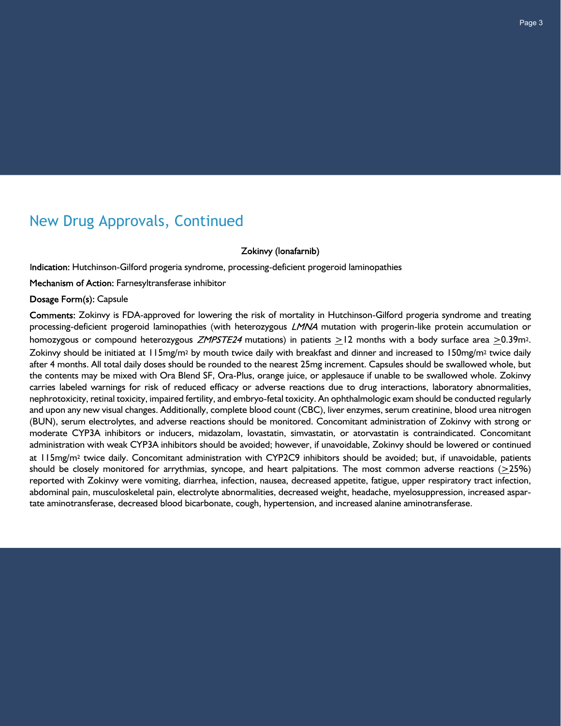### New Drug Approvals, Continued

Zokinvy (lonafarnib)

Indication: Hutchinson-Gilford progeria syndrome, processing-deficient progeroid laminopathies

Mechanism of Action: Farnesyltransferase inhibitor

#### Dosage Form(s): Capsule

Comments: Zokinvy is FDA-approved for lowering the risk of mortality in Hutchinson-Gilford progeria syndrome and treating processing-deficient progeroid laminopathies (with heterozygous LMNA mutation with progerin-like protein accumulation or homozygous or compound heterozygous ZMPSTE24 mutations) in patients  $\geq$ 12 months with a body surface area  $\geq$ 0.39m<sup>2</sup>. Zokinvy should be initiated at  $115mg/m^2$  by mouth twice daily with breakfast and dinner and increased to  $150mg/m^2$  twice daily after 4 months. All total daily doses should be rounded to the nearest 25mg increment. Capsules should be swallowed whole, but the contents may be mixed with Ora Blend SF, Ora-Plus, orange juice, or applesauce if unable to be swallowed whole. Zokinvy carries labeled warnings for risk of reduced efficacy or adverse reactions due to drug interactions, laboratory abnormalities, nephrotoxicity, retinal toxicity, impaired fertility, and embryo-fetal toxicity. An ophthalmologic exam should be conducted regularly and upon any new visual changes. Additionally, complete blood count (CBC), liver enzymes, serum creatinine, blood urea nitrogen (BUN), serum electrolytes, and adverse reactions should be monitored. Concomitant administration of Zokinvy with strong or moderate CYP3A inhibitors or inducers, midazolam, lovastatin, simvastatin, or atorvastatin is contraindicated. Concomitant administration with weak CYP3A inhibitors should be avoided; however, if unavoidable, Zokinvy should be lowered or continued at 115mg/m2 twice daily. Concomitant administration with CYP2C9 inhibitors should be avoided; but, if unavoidable, patients should be closely monitored for arrythmias, syncope, and heart palpitations. The most common adverse reactions  $(225%)$ reported with Zokinvy were vomiting, diarrhea, infection, nausea, decreased appetite, fatigue, upper respiratory tract infection, abdominal pain, musculoskeletal pain, electrolyte abnormalities, decreased weight, headache, myelosuppression, increased aspartate aminotransferase, decreased blood bicarbonate, cough, hypertension, and increased alanine aminotransferase.